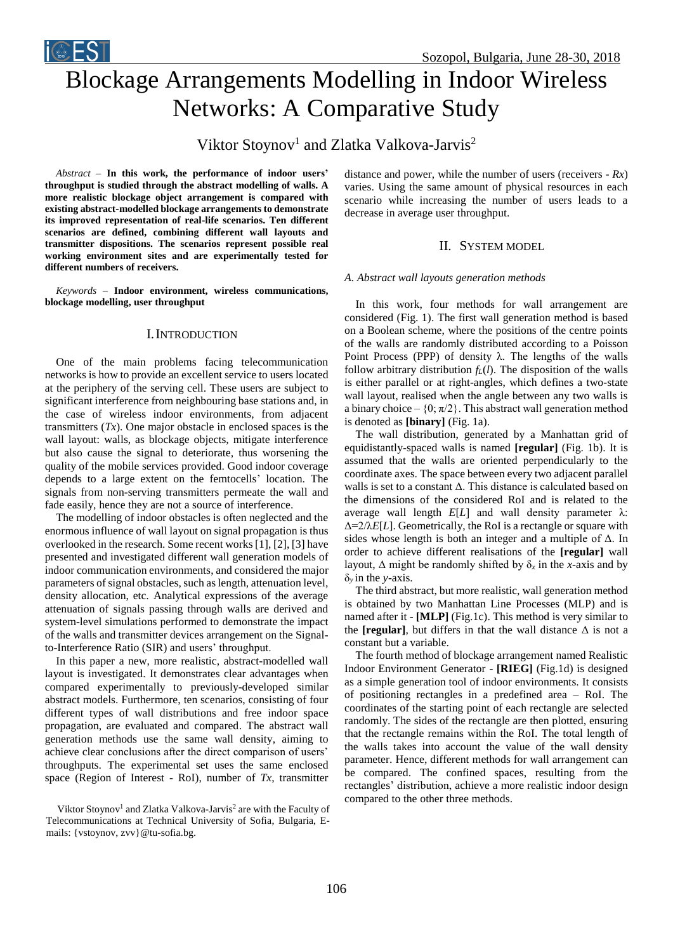# Blockage Arrangements Modelling in Indoor Wireless Networks: A Comparative Study

Viktor Stoynov<sup>1</sup> and Zlatka Valkova-Jarvis<sup>2</sup>

*Abstract –* **In this work, the performance of indoor users' throughput is studied through the abstract modelling of walls. A more realistic blockage object arrangement is compared with existing abstract-modelled blockage arrangements to demonstrate its improved representation of real-life scenarios. Ten different scenarios are defined, combining different wall layouts and transmitter dispositions. The scenarios represent possible real working environment sites and are experimentally tested for different numbers of receivers.**

**i** EST

*Keywords –* **Indoor environment, wireless communications, blockage modelling, user throughput** 

# I.INTRODUCTION

One of the main problems facing telecommunication networks is how to provide an excellent service to users located at the periphery of the serving cell. These users are subject to significant interference from neighbouring base stations and, in the case of wireless indoor environments, from adjacent transmitters  $(Tx)$ . One major obstacle in enclosed spaces is the wall layout: walls, as blockage objects, mitigate interference but also cause the signal to deteriorate, thus worsening the quality of the mobile services provided. Good indoor coverage depends to a large extent on the femtocells' location. The signals from non-serving transmitters permeate the wall and fade easily, hence they are not a source of interference.

The modelling of indoor obstacles is often neglected and the enormous influence of wall layout on signal propagation is thus overlooked in the research. Some recent works [1], [2], [3] have presented and investigated different wall generation models of indoor communication environments, and considered the major parameters of signal obstacles, such as length, attenuation level, density allocation, etc. Analytical expressions of the average attenuation of signals passing through walls are derived and system-level simulations performed to demonstrate the impact of the walls and transmitter devices arrangement on the Signalto-Interference Ratio (SIR) and users' throughput.

In this paper a new, more realistic, abstract-modelled wall layout is investigated. It demonstrates clear advantages when compared experimentally to previously-developed similar abstract models. Furthermore, ten scenarios, consisting of four different types of wall distributions and free indoor space propagation, are evaluated and compared. The abstract wall generation methods use the same wall density, aiming to achieve clear conclusions after the direct comparison of users' throughputs. The experimental set uses the same enclosed space (Region of Interest - RoI), number of *Tx*, transmitter distance and power, while the number of users (receivers - *Rx*) varies. Using the same amount of physical resources in each scenario while increasing the number of users leads to a decrease in average user throughput.

# II. SYSTEM MODEL

*A. Abstract wall layouts generation methods*

In this work, four methods for wall arrangement are considered (Fig. 1). The first wall generation method is based on a Boolean scheme, where the positions of the centre points of the walls are randomly distributed according to a Poisson Point Process (PPP) of density  $λ$ . The lengths of the walls follow arbitrary distribution  $f_L(l)$ . The disposition of the walls is either parallel or at right-angles, which defines a two-state wall layout, realised when the angle between any two walls is a binary choice –  $\{0; \pi/2\}$ . This abstract wall generation method is denoted as **[binary]** (Fig. 1a).

The wall distribution, generated by a Manhattan grid of equidistantly-spaced walls is named **[regular]** (Fig. 1b). It is assumed that the walls are oriented perpendicularly to the coordinate axes. The space between every two adjacent parallel walls is set to a constant Δ. This distance is calculated based on the dimensions of the considered RoI and is related to the average wall length  $E[L]$  and wall density parameter  $\lambda$ : Δ=2/λ*E*[*L*]. Geometrically, the RoI is a rectangle or square with sides whose length is both an integer and a multiple of  $\Delta$ . In order to achieve different realisations of the **[regular]** wall layout,  $\Delta$  might be randomly shifted by  $\delta_x$  in the *x*-axis and by δ*<sup>y</sup>* in the *y*-axis.

The third abstract, but more realistic, wall generation method is obtained by two Manhattan Line Processes (MLP) and is named after it - **[MLP]** (Fig.1c). This method is very similar to the **[regular]**, but differs in that the wall distance  $\Delta$  is not a constant but a variable.

The fourth method of blockage arrangement named Realistic Indoor Environment Generator - **[RIEG]** (Fig.1d) is designed as a simple generation tool of indoor environments. It consists of positioning rectangles in a predefined area – RoI. The coordinates of the starting point of each rectangle are selected randomly. The sides of the rectangle are then plotted, ensuring that the rectangle remains within the RoI. The total length of the walls takes into account the value of the wall density parameter. Hence, different methods for wall arrangement can be compared. The confined spaces, resulting from the rectangles' distribution, achieve a more realistic indoor design compared to the other three methods.

Viktor Stoynov<sup>1</sup> and Zlatka Valkova-Jarvis<sup>2</sup> are with the Faculty of Telecommunications at Technical University of Sofia, Bulgaria, Emails: {vstoynov, zvv}@tu-sofia.bg.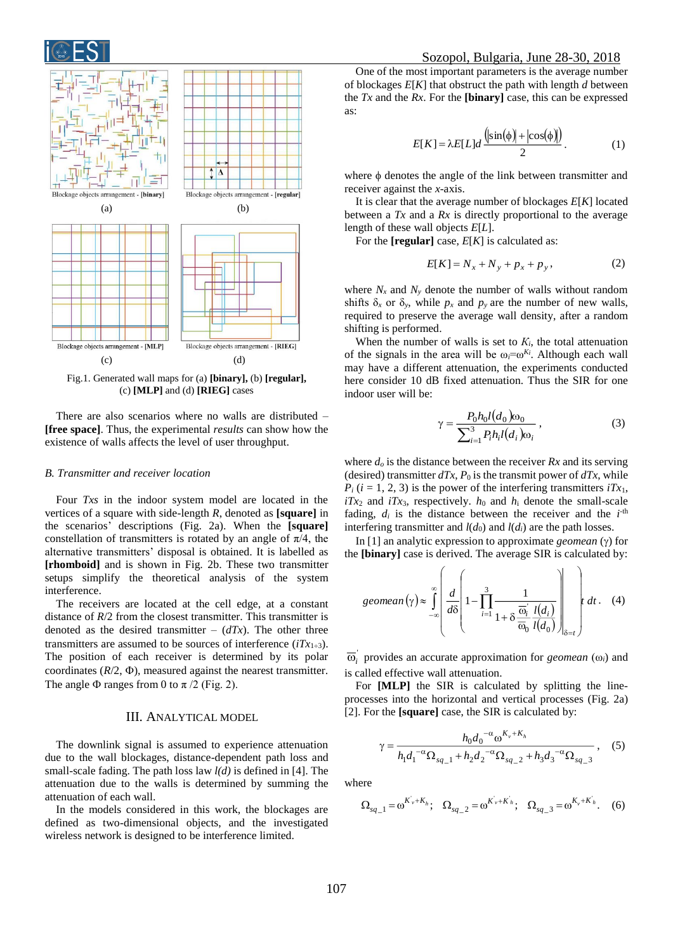



Fig.1. Generated wall maps for (a) **[binary],** (b) **[regular],** (c) **[MLP]** and (d) **[RIEG]** cases

There are also scenarios where no walls are distributed – **[free space]**. Thus, the experimental *results* can show how the existence of walls affects the level of user throughput.

### *B. Transmitter and receiver location*

Four *Txs* in the indoor system model are located in the vertices of a square with side-length *R*, denoted as **[square]** in the scenarios' descriptions (Fig. 2a). When the **[square]** constellation of transmitters is rotated by an angle of  $\pi/4$ , the alternative transmitters' disposal is obtained. It is labelled as **[rhomboid]** and is shown in Fig. 2b. These two transmitter setups simplify the theoretical analysis of the system interference.

The receivers are located at the cell edge, at a constant distance of  $R/2$  from the closest transmitter. This transmitter is denoted as the desired transmitter –  $(dTx)$ . The other three transmitters are assumed to be sources of interference  $(iTx_{1\div 3})$ . The position of each receiver is determined by its polar coordinates  $(R/2, \Phi)$ , measured against the nearest transmitter. The angle  $\Phi$  ranges from 0 to  $\pi/2$  (Fig. 2).

## III. ANALYTICAL MODEL

The downlink signal is assumed to experience attenuation due to the wall blockages, distance-dependent path loss and small-scale fading. The path loss law *l(d)* is defined in [4]. The attenuation due to the walls is determined by summing the attenuation of each wall.

In the models considered in this work, the blockages are defined as two-dimensional objects, and the investigated wireless network is designed to be interference limited.

One of the most important parameters is the average number of blockages *E*[*K*] that obstruct the path with length *d* between the *Tx* and the *Rx*. For the **[binary]** case, this can be expressed as:

$$
E[K] = \lambda E[L]d \frac{(\sin(\phi) + |\cos(\phi)|)}{2}.
$$
 (1)

where  $\phi$  denotes the angle of the link between transmitter and receiver against the *x*-axis.

It is clear that the average number of blockages *E*[*K*] located between a *Tx* and a *Rx* is directly proportional to the average length of these wall objects *E*[*L*].

For the **[regular]** case, *E*[*K*] is calculated as:

$$
E[K] = N_x + N_y + p_x + p_y, \t\t(2)
$$

where  $N_x$  and  $N_y$  denote the number of walls without random shifts  $\delta_x$  or  $\delta_y$ , while  $p_x$  and  $p_y$  are the number of new walls, required to preserve the average wall density, after a random shifting is performed.

When the number of walls is set to  $K_i$ , the total attenuation of the signals in the area will be  $\omega_i = \omega^{K_i}$ . Although each wall may have a different attenuation, the experiments conducted here consider 10 dB fixed attenuation. Thus the SIR for one indoor user will be:

$$
\gamma = \frac{P_0 h_0 l(d_0) \omega_0}{\sum_{i=1}^3 P_i h_i l(d_i) \omega_i},\tag{3}
$$

where *d<sup>o</sup>* is the distance between the receiver *Rx* and its serving (desired) transmitter  $dTx$ ,  $P_0$  is the transmit power of  $dTx$ , while  $P_i$  ( $i = 1, 2, 3$ ) is the power of the interfering transmitters  $iTx_1$ ,  $iTx_2$  and  $iTx_3$ , respectively.  $h_0$  and  $h_i$  denote the small-scale fading,  $d_i$  is the distance between the receiver and the  $i$ <sup>th</sup> interfering transmitter and  $l(d_0)$  and  $l(d_i)$  are the path losses.

In  $[1]$  an analytic expression to approximate *geomean*  $(\gamma)$  for the **[binary]** case is derived. The average SIR is calculated by:

$$
geomean(\gamma) \approx \int_{-\infty}^{\infty} \left( \frac{d}{d\delta} \left( 1 - \prod_{i=1}^{3} \frac{1}{1 + \delta \frac{\overline{\omega}_{i}}{\overline{\omega}_{0}} \frac{l(d_{i})}{l(d_{0})}} \right) \right) \delta_{\delta = t} dt.
$$
 (4)

 $\overline{\omega}_i$  provides an accurate approximation for *geomean* ( $\omega_i$ ) and is called effective wall attenuation.

For **[MLP]** the SIR is calculated by splitting the lineprocesses into the horizontal and vertical processes (Fig. 2a) [2]. For the **[square]** case, the SIR is calculated by:

$$
\gamma = \frac{h_0 d_0^{-\alpha} \omega^{K_v + K_h}}{h_1 d_1^{-\alpha} \Omega_{sq-1} + h_2 d_2^{-\alpha} \Omega_{sq-2} + h_3 d_3^{-\alpha} \Omega_{sq-3}},
$$
(5)

where

$$
\Omega_{sq-1} = \omega^{K_v + K_h}; \quad \Omega_{sq-2} = \omega^{K_v + K_h}; \quad \Omega_{sq-3} = \omega^{K_v + K_h}.
$$
 (6)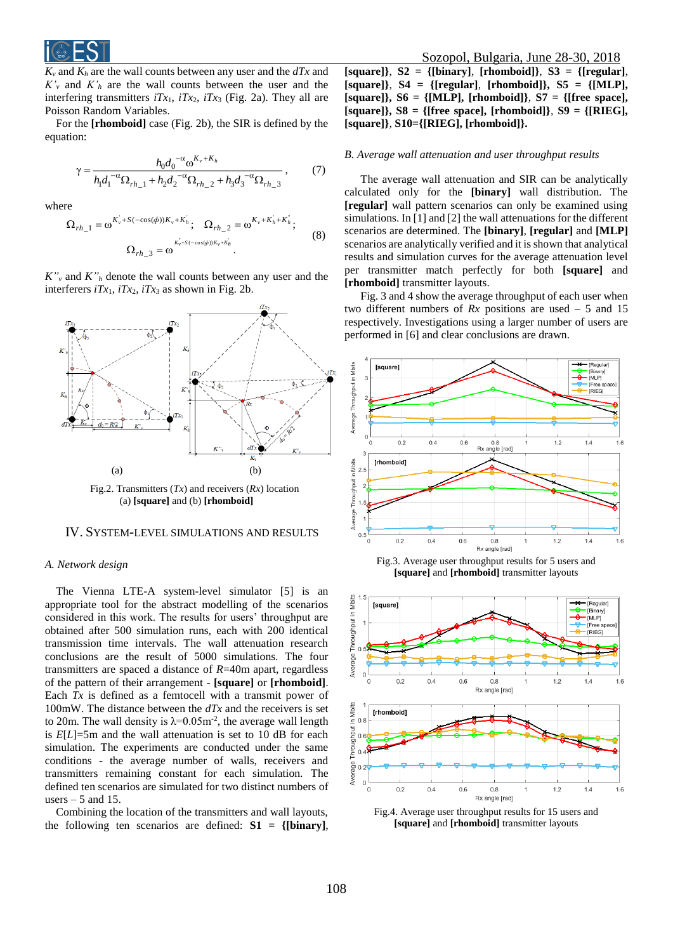

 $K_v$  and  $K_h$  are the wall counts between any user and the  $dTx$  and  $K'$ <sup>*y*</sup> and  $K'$ <sup>*h*</sup> are the wall counts between the user and the interfering transmitters  $iTx_1$ ,  $iTx_2$ ,  $iTx_3$  (Fig. 2a). They all are Poisson Random Variables.

For the **[rhomboid]** case (Fig. 2b), the SIR is defined by the equation:

$$
\gamma = \frac{h_0 d_0^{-\alpha} \omega^{K_v + K_h}}{h_1 d_1^{-\alpha} \Omega_{rh}{}_{-1} + h_2 d_2^{-\alpha} \Omega_{rh}{}_{-2} + h_3 d_3^{-\alpha} \Omega_{rh}{}_{-3}},\tag{7}
$$

where

$$
\Omega_{rh\_1} = \omega^{K_v + S(-\cos(\phi))K_v + K_h'}, \quad \Omega_{rh\_2} = \omega^{K_v + K_h + K_h'},
$$
\n
$$
\Omega_{rh\_3} = \omega^{K_v + S(-\cos(\phi))K_v + K_h'}.
$$
\n(8)

 $K''$ <sup>*v*</sup> and  $K''$ <sup>*h*</sup> denote the wall counts between any user and the interferers  $iTx_1$ ,  $iTx_2$ ,  $iTx_3$  as shown in Fig. 2b.



Fig.2. Transmitters (*Tx*) and receivers (*Rx*) location (a) **[square]** and (b) **[rhomboid]**

#### IV. SYSTEM-LEVEL SIMULATIONS AND RESULTS

#### *A. Network design*

The Vienna LTE-A system-level simulator [5] is an appropriate tool for the abstract modelling of the scenarios considered in this work. The results for users' throughput are obtained after 500 simulation runs, each with 200 identical transmission time intervals. The wall attenuation research conclusions are the result of 5000 simulations. The four transmitters are spaced a distance of *R*=40m apart, regardless of the pattern of their arrangement - **[square]** or **[rhomboid]**. Each *Tx* is defined as a femtocell with a transmit power of 100mW. The distance between the *dTx* and the receivers is set to 20m. The wall density is  $\lambda = 0.05$ m<sup>-2</sup>, the average wall length is *E*[*L*]=5m and the wall attenuation is set to 10 dB for each simulation. The experiments are conducted under the same conditions - the average number of walls, receivers and transmitters remaining constant for each simulation. The defined ten scenarios are simulated for two distinct numbers of users  $-5$  and 15.

Combining the location of the transmitters and wall layouts, the following ten scenarios are defined: **S1 = {[binary]**,

**[square]}**, **S2 = {[binary]**, **[rhomboid]}**, **S3 = {[regular]**, **[square]}**, **S4 = {[regular]**, **[rhomboid]}, S5 = {[MLP], [square]}, S6 = {[MLP], [rhomboid]}**, **S7 = {[free space], [square]}, S8 = {[free space], [rhomboid]}**, **S9 = {[RIEG], [square]}**, **S10={[RIEG], [rhomboid]}.**

#### *B. Average wall attenuation and user throughput results*

The average wall attenuation and SIR can be analytically calculated only for the **[binary]** wall distribution. The **[regular]** wall pattern scenarios can only be examined using simulations. In [1] and [2] the wall attenuations for the different scenarios are determined. The **[binary]**, **[regular]** and **[MLP]** scenarios are analytically verified and it is shown that analytical results and simulation curves for the average attenuation level per transmitter match perfectly for both **[square]** and **[rhomboid]** transmitter layouts.

Fig. 3 and 4 show the average throughput of each user when two different numbers of  $Rx$  positions are used  $-5$  and 15 respectively. Investigations using a larger number of users are performed in [6] and clear conclusions are drawn.



Fig.3. Average user throughput results for 5 users and **[square]** and **[rhomboid]** transmitter layouts



Fig.4. Average user throughput results for 15 users and **[square]** and **[rhomboid]** transmitter layouts